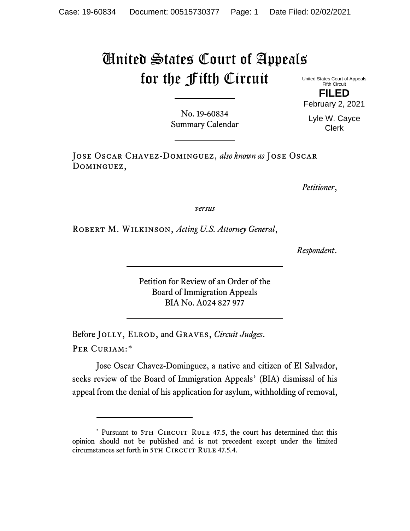## United States Court of Appeals for the Fifth Circuit

United States Court of Appeals Fifth Circuit **FILED**

February 2, 2021

No. 19-60834 Summary Calendar Lyle W. Cayce Clerk

Jose Oscar Chavez-Dominguez, *also known as* Jose Oscar DOMINGUEZ,

*Petitioner*,

*versus*

Robert M. Wilkinson, *Acting U.S. Attorney General*,

*Respondent*.

Petition for Review of an Order of the Board of Immigration Appeals BIA No. A024 827 977

Before Jolly, Elrod, and Graves, *Circuit Judges*. Per Curiam:[\\*](#page-0-0)

Jose Oscar Chavez-Dominguez, a native and citizen of El Salvador, seeks review of the Board of Immigration Appeals' (BIA) dismissal of his appeal from the denial of his application for asylum, withholding of removal,

<span id="page-0-0"></span><sup>\*</sup> Pursuant to 5TH CIRCUIT RULE 47.5, the court has determined that this opinion should not be published and is not precedent except under the limited circumstances set forth in 5TH CIRCUIT RULE 47.5.4.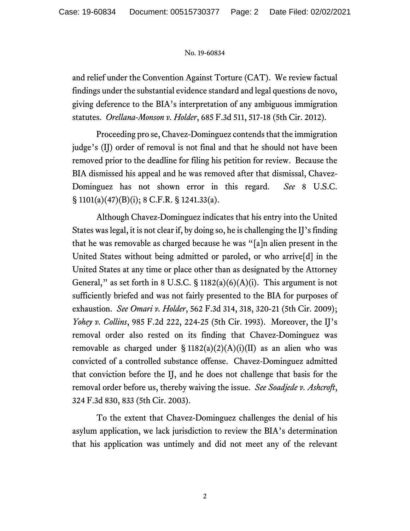## No. 19-60834

and relief under the Convention Against Torture (CAT). We review factual findings under the substantial evidence standard and legal questions de novo, giving deference to the BIA's interpretation of any ambiguous immigration statutes. *Orellana-Monson v. Holder*, 685 F.3d 511, 517-18 (5th Cir. 2012).

Proceeding pro se, Chavez-Dominguez contends that the immigration judge's (IJ) order of removal is not final and that he should not have been removed prior to the deadline for filing his petition for review. Because the BIA dismissed his appeal and he was removed after that dismissal, Chavez-Dominguez has not shown error in this regard. *See* 8 U.S.C. § 1101(a)(47)(B)(i); 8 C.F.R. § 1241.33(a).

Although Chavez-Dominguez indicates that his entry into the United States was legal, it is not clear if, by doing so, he is challenging the IJ's finding that he was removable as charged because he was "[a]n alien present in the United States without being admitted or paroled, or who arrive[d] in the United States at any time or place other than as designated by the Attorney General," as set forth in 8 U.S.C.  $\S$  1182(a)(6)(A)(i). This argument is not sufficiently briefed and was not fairly presented to the BIA for purposes of exhaustion. *See Omari v. Holder*, 562 F.3d 314, 318, 320-21 (5th Cir. 2009); *Yohey v. Collins*, 985 F.2d 222, 224-25 (5th Cir. 1993). Moreover, the IJ's removal order also rested on its finding that Chavez-Dominguez was removable as charged under  $\S 1182(a)(2)(A)(i)(II)$  as an alien who was convicted of a controlled substance offense. Chavez-Dominguez admitted that conviction before the IJ, and he does not challenge that basis for the removal order before us, thereby waiving the issue. *See Soadjede v. Ashcroft*, 324 F.3d 830, 833 (5th Cir. 2003).

To the extent that Chavez-Dominguez challenges the denial of his asylum application, we lack jurisdiction to review the BIA's determination that his application was untimely and did not meet any of the relevant